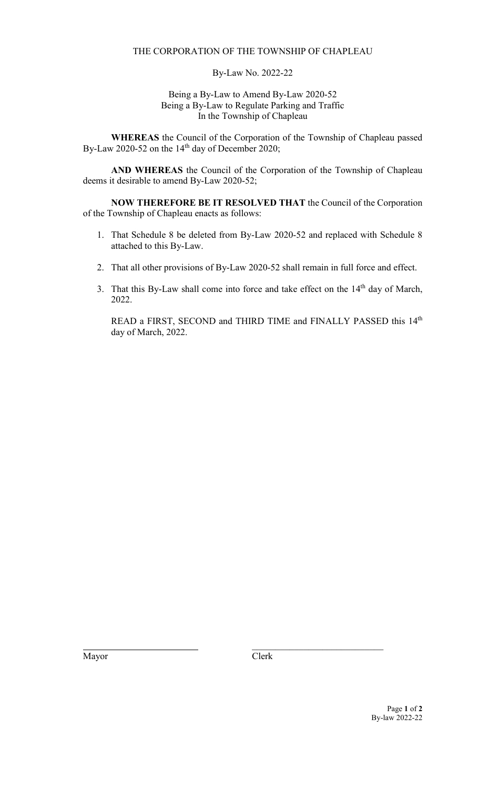### THE CORPORATION OF THE TOWNSHIP OF CHAPLEAU

### By-Law No. 2022-22

### Being a By-Law to Amend By-Law 2020-52 Being a By-Law to Regulate Parking and Traffic In the Township of Chapleau

**WHEREAS** the Council of the Corporation of the Township of Chapleau passed By-Law 2020-52 on the  $14<sup>th</sup>$  day of December 2020;

**AND WHEREAS** the Council of the Corporation of the Township of Chapleau deems it desirable to amend By-Law 2020-52;

**NOW THEREFORE BE IT RESOLVED THAT** the Council of the Corporation of the Township of Chapleau enacts as follows:

- 1. That Schedule 8 be deleted from By-Law 2020-52 and replaced with Schedule 8 attached to this By-Law.
- 2. That all other provisions of By-Law 2020-52 shall remain in full force and effect.
- 3. That this By-Law shall come into force and take effect on the 14<sup>th</sup> day of March, 2022.

READ a FIRST, SECOND and THIRD TIME and FINALLY PASSED this 14<sup>th</sup> day of March, 2022.

Mayor Clerk

\_\_\_\_\_\_\_\_\_\_\_\_\_\_\_\_\_\_\_\_\_\_\_\_\_\_\_\_